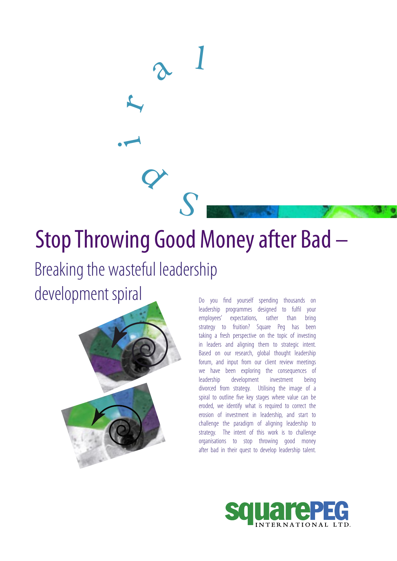# Stop Throwing Good Money after Bad –

 $\begin{matrix} 1 & 1 \\ 1 & 1 \end{matrix}$ 

a

 $\lambda$  1

# Breaking the wasteful leadership

 $\bullet$ 

r

development spiral



Do you find yourself spending thousands on leadership programmes designed to fulfil your employees' expectations, rather than bring strategy to fruition? Square Peg has been taking a fresh perspective on the topic of investing in leaders and aligning them to strategic intent. Based on our research, global thought leadership forum, and input from our client review meetings we have been exploring the consequences of leadership development investment being divorced from strategy. Utilising the image of a spiral to outline five key stages where value can be eroded, we identify what is required to correct the erosion of investment in leadership, and start to challenge the paradigm of aligning leadership to strategy. The intent of this work is to challenge organisations to stop throwing good money after bad in their quest to develop leadership talent.

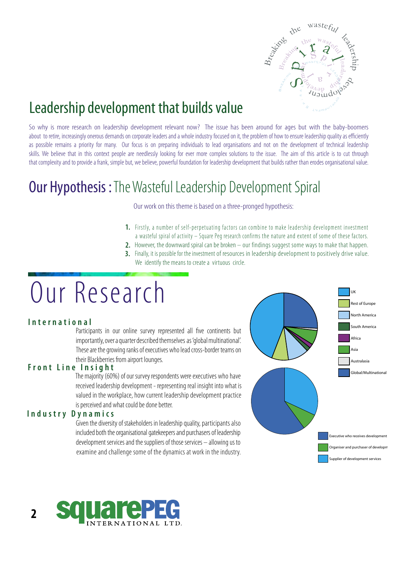

## Leadership development that builds value

So why is more research on leadership development relevant now? The issue has been around for ages but with the baby-boomers about to retire, increasingly onerous demands on corporate leaders and a whole industry focused on it, the problem of how to ensure leadership quality as efficiently as possible remains a priority for many. Our focus is on preparing individuals to lead organisations and not on the development of technical leadership skills. We believe that in this context people are needlessly looking for ever more complex solutions to the issue. The aim of this article is to cut through that complexity and to provide a frank, simple but, we believe, powerful foundation for leadership development that builds rather than erodes organisational value.

## **Our Hypothesis:** The Wasteful Leadership Development Spiral

Our work on this theme is based on a three-pronged hypothesis:

- **1.** Firstly, a number of self-perpetuating factors can combine to make leadership development investment a wasteful spiral of activity – Square Peg research confirms the nature and ex tent of some of these factors.
- **2.** However, the downward spiral can be broken our findings suggest some ways to make that happen.
- **3.** Finally, it is possible for the investment of resources in leadership development to positively drive value. We identify the means to create a virtuous circle.

# Our Research

## **I n t e r n a t i o n a l**

Participants in our online survey represented all five continents but importantly, over a quarter described themselves as 'global multinational'. These are the growing ranks of executives who lead cross-border teams on their Blackberries from airport lounges.

### **F r o n t L i n e I n s i g h t**

 The majority (60%) of our survey respondents were executives who have received leadership development - representing real insight into what is valued in the workplace, how current leadership development practice is perceived and what could be done better.

#### **I n d u s t r y D y n a m i c s**

 Given the diversity of stakeholders in leadership quality, participants also included both the organisational gatekeepers and purchasers of leadership development services and the suppliers of those services – allowing us to examine and challenge some of the dynamics at work in the industry.





**2**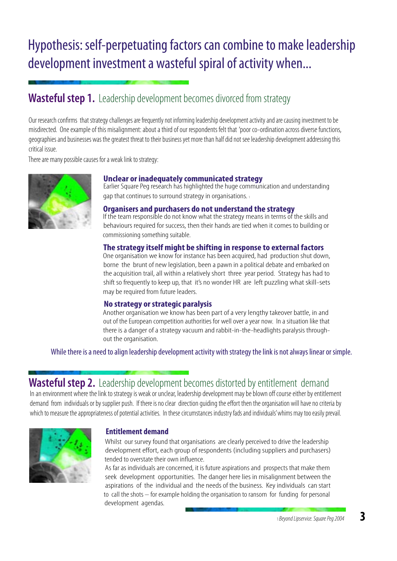# Hypothesis: self-perpetuating factors can combine to make leadership development investment a wasteful spiral of activity when...

## **Wasteful step 1.** Leadership development becomes divorced from strategy

Our research confirms that strategy challenges are frequently not informing leadership development activity and are causing investment to be misdirected. One example of this misalignment: about a third of our respondents felt that 'poor co-ordination across diverse functions, geographies and businesses was the greatest threat to their business yet more than half did not see leadership development addressing this critical issue.

There are many possible causes for a weak link to strategy:



#### **Unclear or inadequately communicated strategy**

 Earlier Square Peg research has highlighted the huge communication and understanding gap that continues to surround strategy in organisations. <sup>1</sup>

**Organisers and purchasers do not understand the strategy**

If the team responsible do not know what the strategy means in terms of the skills and behaviours required for success, then their hands are tied when it comes to building or commissioning something suitable.

#### **The strategy itself might be shifting in response to external factors**

 One organisation we know for instance has been acquired, had production shut down, borne the brunt of new legislation, been a pawn in a political debate and embarked on the acquisition trail, all within a relatively short three year period. Strategy has had to shift so frequently to keep up, that it's no wonder HR are left puzzling what skill-sets may be required from future leaders.

#### **No strategy or strategic paralysis**

 Another organisation we know has been part of a very lengthy takeover battle, in and out of the European competition authorities for well over a year now. In a situation like that there is a danger of a strategy vacuum and rabbit-in-the-headlights paralysis through out the organisation.

While there is a need to align leadership development activity with strategy the link is not always linear or simple.

## **Wasteful step 2.** Leadership development becomes distorted by entitlement demand

 In an environment where the link to strategy is weak or unclear, leadership development may be blown off course either by entitlement demand from individuals or by supplier push. If there is no clear direction guiding the effort then the organisation will have no criteria by which to measure the appropriateness of potential activities. In these circumstances industry fads and individuals' whims may too easily prevail.



## **Entitlement demand**

 Whilst our survey found that organisations are clearly perceived to drive the leadership development effort, each group of respondents (including suppliers and purchasers) tended to overstate their own influence.

 As far as individuals are concerned, it is future aspirations and prospects that make them seek development opportunities. The danger here lies in misalignment between the aspirations of the individual and the needs of the business. Key individuals can start to call the shots – for example holding the organisation to ransom for funding for personal development agendas.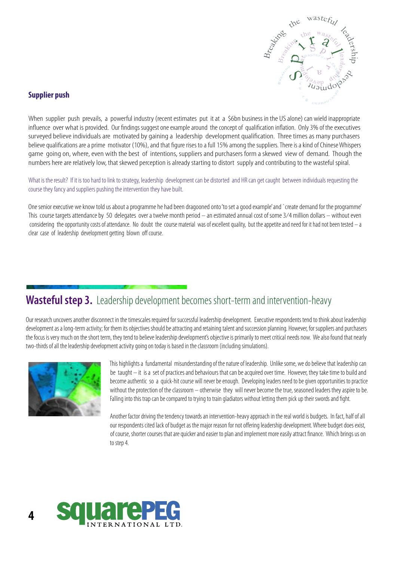

## **Supplier push**

When supplier push prevails, a powerful industry (recent estimates put it at a \$6bn business in the US alone) can wield inappropriate influence over what is provided. Our findings suggest one example around the concept of qualification inflation. Only 3% of the executives surveyed believe individuals are motivated by gaining a leadership development qualification. Three times as many purchasers believe qualifications are a prime motivator (10%), and that figure rises to a full 15% among the suppliers. There is a kind of Chinese Whispers game going on, where, even with the best of intentions, suppliers and purchasers form a skewed view of demand. Though the numbers here are relatively low, that skewed perception is already starting to distort supply and contributing to the wasteful spiral.

What is the result? If it is too hard to link to strategy, leadership development can be distorted and HR can get caught between individuals requesting the course they fancy and suppliers pushing the intervention they have built.

One senior executive we know told us about a programme he had been dragooned onto 'to set a good example' and `create demand for the programme' This course targets attendance by 50 delegates over a twelve month period – an estimated annual cost of some 3⁄4 million dollars – without even considering the opportunity costs of attendance. No doubt the course material was of excellent quality, but the appetite and need for it had not been tested  $-$  a clear case of leadership development getting blown off course.

## **Wasteful step 3.** Leadership development becomes short-term and intervention-heavy

Our research uncovers another disconnect in the timescales required for successful leadership development. Executive respondents tend to think about leadership development as a long-term activity; for them its objectives should be attracting and retaining talent and succession planning. However, for suppliers and purchasers the focus is very much on the short term, they tend to believe leadership development's objective is primarily to meet critical needs now. We also found that nearly two-thirds of all the leadership development activity going on today is based in the classroom (including simulations).



 This highlights a fundamental misunderstanding of the nature of leadership. Unlike some, we do believe that leadership can be taught – it is a set of practices and behaviours that can be acquired over time. However, they take time to build and become authentic so a quick-hit course will never be enough. Developing leaders need to be given opportunities to practice without the protection of the classroom – otherwise they will never become the true, seasoned leaders they aspire to be. Falling into this trap can be compared to trying to train gladiators without letting them pick up their swords and fight.

 Another factor driving the tendency towards an intervention-heavy approach in the real world is budgets. In fact, half of all our respondents cited lack of budget as the major reason for not offering leadership development. Where budget does exist, of course, shorter courses that are quicker and easier to plan and implement more easily attract finance. Which brings us on to step 4.

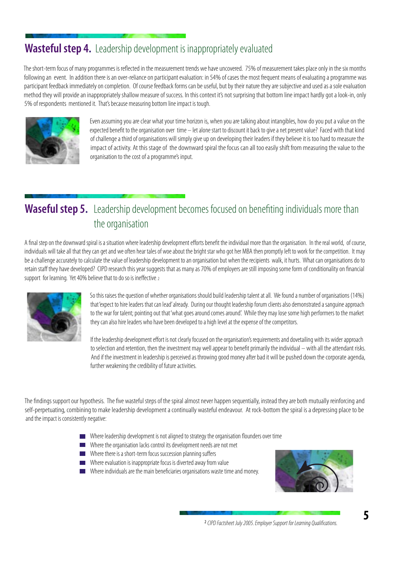## **Wasteful step 4.** Leadership development is inappropriately evaluated

 The short-term focus of many programmes is reflected in the measurement trends we have uncovered. 75% of measurement takes place only in the six months following an event. In addition there is an over-reliance on participant evaluation: in 54% of cases the most frequent means of evaluating a programme was participant feedback immediately on completion. Of course feedback forms can be useful, but by their nature they are subjective and used as a sole evaluation method they will provide an inappropriately shallow measure of success. In this context it's not surprising that bottom line impact hardly got a look-in, only 5% of respondents mentioned it. That's because measuring bottom line impact is tough.



 Even assuming you are clear what your time horizon is, when you are talking about intangibles, how do you put a value on the expected benefit to the organisation over time – let alone start to discount it back to give a net present value? Faced with that kind of challenge a third of organisations will simply give up on developing their leaders if they believe it is too hard to measure the impact of activity. At this stage of the downward spiral the focus can all too easily shift from measuring the value to the organisation to the cost of a programme's input.

## Waseful step 5. Leadership development becomes focused on benefiting individuals more than the organisation

 A final step on the downward spiral is a situation where leadership development efforts benefit the individual more than the organisation. In the real world, of course, individuals will take all that they can get and we often hear tales of woe about the bright star who got her MBA then promptly left to work for the competition. It may be a challenge accurately to calculate the value of leadership development to an organisation but when the recipients walk, it hurts. What can organisations do to retain staff they have developed? CIPD research this year suggests that as many as 70% of employers are still imposing some form of conditionality on financial support for learning. Yet 40% believe that to do so is ineffective. 2



 So this raises the question of whether organisations should build leadership talent at all. We found a number of organisations (14%) that 'expect to hire leaders that can lead' already. During our thought leadership forum clients also demonstrated a sanguine approach to the war for talent; pointing out that 'what goes around comes around'. While they may lose some high performers to the market they can also hire leaders who have been developed to a high level at the expense of the competitors.

 If the leadership development effort is not clearly focused on the organisation's requirements and dovetailing with its wider approach to selection and retention, then the investment may well appear to benefit primarily the individual – with all the attendant risks. And if the investment in leadership is perceived as throwing good money after bad it will be pushed down the corporate agenda, further weakening the credibility of future activities.

 The findings support our hypothesis. The five wasteful steps of the spiral almost never happen sequentially, instead they are both mutually reinforcing and self-perpetuating, combining to make leadership development a continually wasteful endeavour. At rock-bottom the spiral is a depressing place to be and the impact is consistently negative:

- Where leadership development is not aligned to strategy the organisation flounders over time
- Where the organisation lacks control its development needs are not met
- Where there is a short-term focus succession planning suffers
- Where evaluation is inappropriate focus is diverted away from value
- Where individuals are the main beneficiaries organisations waste time and money.

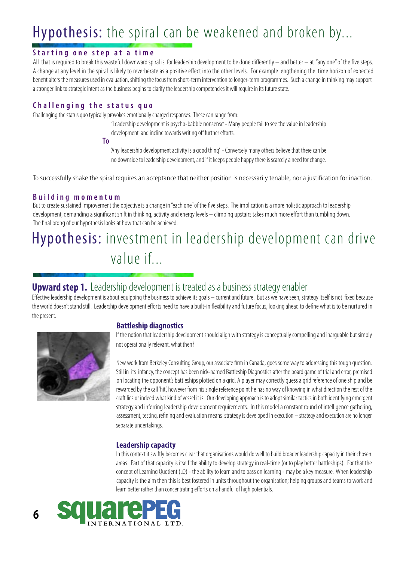# Hypothesis: the spiral can be weakened and broken by...

## **Starting one step at a time**

All that is required to break this wasteful downward spiral is for leadership development to be done differently  $-$  and better  $-$  at "any one" of the five steps. A change at any level in the spiral is likely to reverberate as a positive effect into the other levels. For example lengthening the time horizon of expected benefit alters the measures used in evaluation, shifting the focus from short-term intervention to longer-term programmes. Such a change in thinking may support a stronger link to strategic intent as the business begins to clarify the leadership competencies it will require in its future state.

### **C h a l l e n g i n g t h e s t a t u s q u o**

Challenging the status quo typically provokes emotionally charged responses. These can range from:

 'Leadership development is psycho-babble nonsense' - Many people fail to see the value in leadership development and incline towards writing off further efforts.

**To**

 'Any leadership development activity is a good thing' - Conversely many others believe that there can be no downside to leadership development, and if it keeps people happy there is scarcely a need for change.

To successfully shake the spiral requires an acceptance that neither position is necessarily tenable, nor a justification for inaction.

#### **B u i l d i n g m o m e n t u m**

But to create sustained improvement the objective is a change in "each one" of the five steps. The implication is a more holistic approach to leadership development, demanding a significant shift in thinking, activity and energy levels – climbing upstairs takes much more effort than tumbling down. The final prong of our hypothesis looks at how that can be achieved.

# Hypothesis: investment in leadership development can drive value if...

## **Upward step 1.** Leadership development is treated as a business strategy enabler

Effective leadership development is about equipping the business to achieve its goals – current and future. But as we have seen, strategy itself is not fixed because the world doesn't stand still. Leadership development efforts need to have a built-in flexibility and future focus; looking ahead to define what is to be nurtured in the present.



## **Battleship diagnostics**

 If the notion that leadership development should align with strategy is conceptually compelling and inarguable but simply not operationally relevant, what then?

 New work from Berkeley Consulting Group, our associate firm in Canada, goes some way to addressing this tough question. Still in its infancy, the concept has been nick-named Battleship Diagnostics after the board game of trial and error, premised on locating the opponent's battleships plotted on a grid. A player may correctly guess a grid reference of one ship and be rewarded by the call 'hit', however from his single reference point he has no way of knowing in what direction the rest of the craft lies or indeed what kind of vessel it is. Our developing approach is to adopt similar tactics in both identifying emergent strategy and inferring leadership development requirements. In this model a constant round of intelligence gathering, assessment, testing, refining and evaluation means strategy is developed in execution – strategy and execution are no longer separate undertakings.

## **Leadership capacity**

 In this context it swiftly becomes clear that organisations would do well to build broader leadership capacity in their chosen areas. Part of that capacity is itself the ability to develop strategy in real-time (or to play better battleships). For that the concept of Learning Quotient (LQ) - the ability to learn and to pass on learning - may be a key measure. When leadership capacity is the aim then this is best fostered in units throughout the organisation; helping groups and teams to work and learn better rather than concentrating efforts on a handful of high potentials.

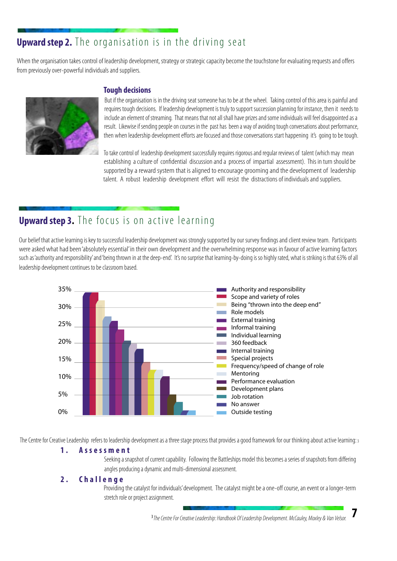## **Upward step 2.** The organisation is in the driving seat

When the organisation takes control of leadership development, strategy or strategic capacity become the touchstone for evaluating requests and offers from previously over-powerful individuals and suppliers.



## **Tough decisions**

 But if the organisation is in the driving seat someone has to be at the wheel. Taking control of this area is painful and requires tough decisions. If leadership development is truly to support succession planning for instance, then it needs to include an element of streaming. That means that not all shall have prizes and some individuals will feel disappointed as a result. Likewise if sending people on courses in the past has been a way of avoiding tough conversations about performance, then when leadership development efforts are focused and those conversations start happening it's going to be tough.

 To take control of leadership development successfully requires rigorous and regular reviews of talent (which may mean establishing a culture of confidential discussion and a process of impartial assessment). This in turn should be supported by a reward system that is aligned to encourage grooming and the development of leadership talent. A robust leadership development effort will resist the distractions of individuals and suppliers.

## **Upward step 3.** The focus is on active learning

Our belief that active learning is key to successful leadership development was strongly supported by our survey findings and client review team. Participants were asked what had been 'absolutely essential' in their own development and the overwhelming response was in favour of active learning factors such as 'authority and responsibility' and 'being thrown in at the deep-end'. It's no surprise that learning-by-doing is so highly rated, what is striking is that 63% of all leadership development continues to be classroom based.



The Centre for Creative Leadership refers to leadership development as a three stage process that provides a good framework for our thinking about active learning: 3

#### **1 . A s s e s s m e n t**

 Seeking a snapshot of current capability. Following the Battleships model this becomes a series of snapshots from differing angles producing a dynamic and multi-dimensional assessment.

#### **2 . C h a l l e n g e**

 Providing the catalyst for individuals' development. The catalyst might be a one-off course, an event or a longer-term stretch role or project assignment.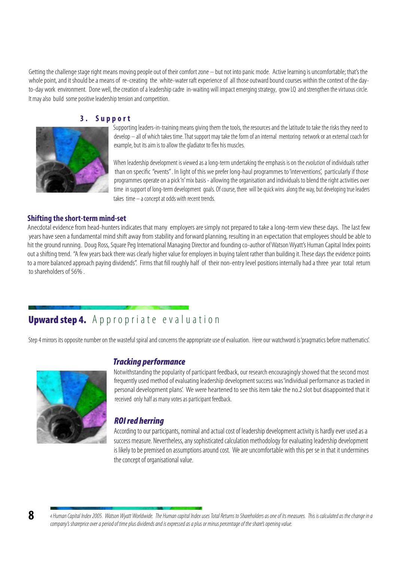Getting the challenge stage right means moving people out of their comfort zone – but not into panic mode. Active learning is uncomfortable: that's the whole point, and it should be a means of re-creating the white-water raft experience of all those outward bound courses within the context of the day to-day work environment. Done well, the creation of a leadership cadre in-waiting will impact emerging strategy, grow LQ and strengthen the virtuous circle. It may also build some positive leadership tension and competition.

#### **3 . S u p p o r t**



 Supporting leaders-in-training means giving them the tools, the resources and the latitude to take the risks they need to develop – all of which takes time. That support may take the form of an internal mentoring network or an external coach for example, but its aim is to allow the gladiator to flex his muscles.

When leadership development is viewed as a long-term undertaking the emphasis is on the evolution of individuals rather than on specific "events" . In light of this we prefer long-haul programmes to 'interventions', particularly if those programmes operate on a pick 'n' mix basis - allowing the organisation and individuals to blend the right activities over time in support of long-term development goals. Of course, there will be quick wins along the way, but developing true leaders takes time – a concept at odds with recent trends.

#### **Shifting the short-term mind-set**

Anecdotal evidence from head-hunters indicates that many employers are simply not prepared to take a long-term view these days. The last few yearshave seen a fundamental mind shift away from stability and forward planning, resulting in an expectation that employees should be able to hit the ground running. Doug Ross, Square Peg International Managing Director and founding co-author of Watson Wyatt's Human Capital Index points out ashifting trend. "A few years back there was clearly higher value for employers in buying talent rather than building it. These days the evidence points to a more balanced approach paying dividends". Firms that fill roughly half of their non-entry level positions internally had a three year total return to shareholders of 56%

## Upward step 4. A p p r o p riate evaluation

Step 4 mirrors its opposite number on the wasteful spiral and concerns the appropriate use of evaluation. Here our watchword is 'pragmatics before mathematics'.



## Tracking performance

 Notwithstanding the popularity of participant feedback, our research encouragingly showed that the second most frequently used method of evaluating leadership development success was 'individual performance as tracked in personal development plans'. We were heartened to see this item take the no.2 slot but disappointed that it received only half as many votes as participant feedback.

## ROI red herring

 According to our participants, nominal and actual cost of leadership development activity is hardly ever used as a success measure. Nevertheless, any sophisticated calculation methodology for evaluating leadership development is likely to be premised on assumptions around cost. We are uncomfortable with this per se in that it undermines the concept of organisational value.

<sup>4</sup> Human Capital Index 2005. Watson Wyatt Worldwide. The Human capital Index uses Total Returns to Shareholders as one of its measures. This is calculated as the change in a company's shareprice over a period of time plus dividends and is expressed as a plus or minus percentage of the share's opening value.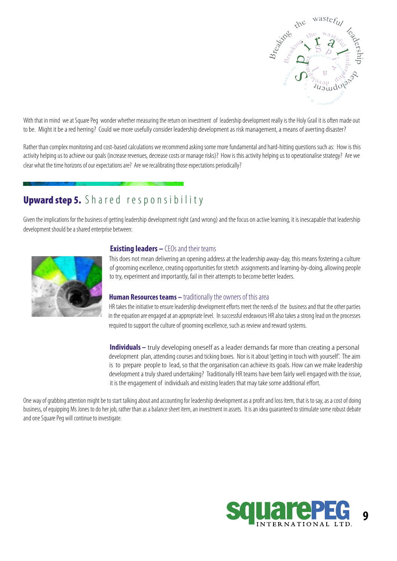

With that in mind we at Square Peg wonder whether measuring the return on investment of leadership development really is the Holy Grail it is often made out tobe. Might it be a red herring? Could we more usefully consider leadership development as risk management, a means of averting disaster?

Rather than complex monitoring and cost-based calculations we recommend asking some more fundamental and hard-hitting questions such as: How is this activity helping us to achieve our goals (increase revenues, decrease costs or manage risks)? How is this activity helping us to operationalise strategy? Are we clear what the time horizons of our expectations are? Are we recalibrating those expectations periodically?

## Upward step 5. Shared responsibility

Given the implications for the business of getting leadership development right (and wrong) and the focus on active learning, it is inescapable that leadership development should be a shared enterprise between:



#### **Existing leaders –** CEOs and their teams

 This does not mean delivering an opening address at the leadership away-day, this means fostering a culture of grooming excellence, creating opportunities for stretch assignments and learning-by-doing, allowing people to try, experiment and importantly, fail in their attempts to become better leaders.

#### **Human Resources teams –** traditionally the owners of this area

 HR takes the initiative to ensure leadership development efforts meet the needs of the business and that the other parties in the equation are engaged at an appropriate level. In successful endeavours HR also takes a strong lead on the processes required to support the culture of grooming excellence, such as review and reward systems.

 **Individuals –** truly developing oneself as a leader demands far more than creating a personal development plan, attending courses and ticking boxes. Nor is it about 'getting in touch with yourself'. The aim is to prepare people to lead, so that the organisation can achieve its goals. How can we make leadership developmenta trulyshared undertaking? Traditionally HR teams have been fairly well engaged with the issue, it is the engagement of individuals and existing leaders that may take some additional effort.

One way of grabbing attention might be to start talking about and accounting for leadership development as a profit and loss item, that is to say, as a cost of doing business, of equipping Ms Jones to do her job, rather than as a balance sheet item, an investment in assets. It is an idea guaranteed to stimulate some robust debate and one Square Peg will continue to investigate.

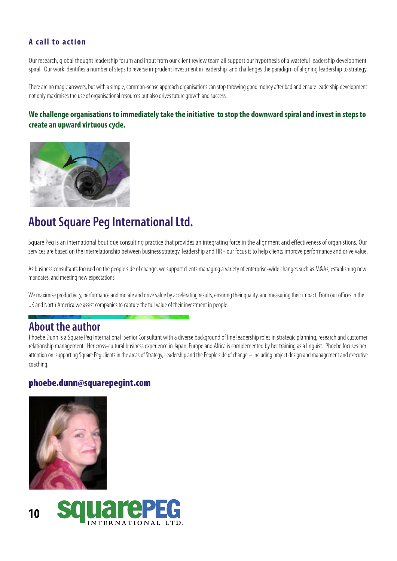## **A** call to action

Our research, global thought leadership forum and input from our client review team all support our hypothesis of a wasteful leadership development spiral. Our work identifies a number of steps to reverse imprudent investment in leadership and challenges the paradigm of aligning leadership to strategy.

There are no magic answers, but with a simple, common-sense approach organisations can stop throwing good money after bad and ensure leadership development not only maximises the use of organisational resources but also drives future growth and success.

## **We challenge organisations to immediately take the initiative to stop the downward spiral and invest in steps to create an upward virtuous cycle.**



## **About Square Peg International Ltd.**

Square Peg is an international boutique consulting practice that provides an integrating force in the alignment and effectiveness of organistions. Our services are based on the interrelationship between business strategy, leadership and HR - our focus is to help clients improve performance and drive value.

As business consultants focused on the people side of change, we support clients managing a variety of enterprise-wide changes such as M&As, establishing new mandates, and meeting new expectations.

We maximise productivity, performance and morale and drive value by accelerating results, ensuring their quality, and measuring their impact. From our offices in the UK and North America we assist companies to capture the full value of their investment in people.

## **About the author**

Phoebe Dunn is a Square Peg International Senior Consultant with a diverse background of line leadership roles in strategic planning, research and customer relationship management. Her cross-cultural business experience in Japan, Europe and Africa is complemented by her training as a linguist. Phoebe focuses her attention on supporting Square Peg clients in the areas of Strategy, Leadership and the People side of change – including project design and management and executive coaching.

## phoebe.dunn@squarepegint.com